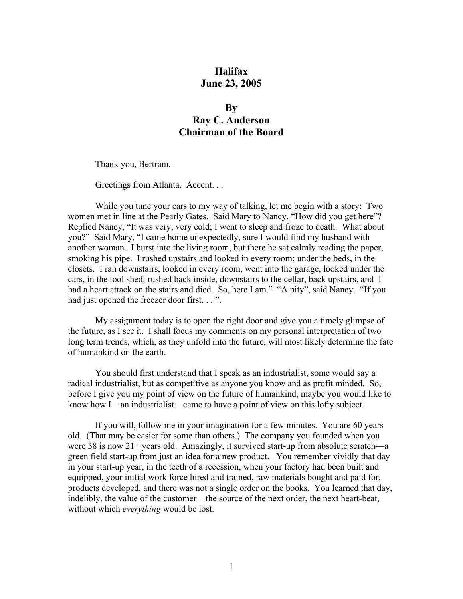## **Halifax June 23, 2005**

## **By Ray C. Anderson Chairman of the Board**

Thank you, Bertram.

Greetings from Atlanta. Accent. . .

While you tune your ears to my way of talking, let me begin with a story: Two women met in line at the Pearly Gates. Said Mary to Nancy, "How did you get here"? Replied Nancy, "It was very, very cold; I went to sleep and froze to death. What about you?" Said Mary, "I came home unexpectedly, sure I would find my husband with another woman. I burst into the living room, but there he sat calmly reading the paper, smoking his pipe. I rushed upstairs and looked in every room; under the beds, in the closets. I ran downstairs, looked in every room, went into the garage, looked under the cars, in the tool shed; rushed back inside, downstairs to the cellar, back upstairs, and I had a heart attack on the stairs and died. So, here I am." "A pity", said Nancy. "If you had just opened the freezer door first. . . ".

My assignment today is to open the right door and give you a timely glimpse of the future, as I see it. I shall focus my comments on my personal interpretation of two long term trends, which, as they unfold into the future, will most likely determine the fate of humankind on the earth.

You should first understand that I speak as an industrialist, some would say a radical industrialist, but as competitive as anyone you know and as profit minded. So, before I give you my point of view on the future of humankind, maybe you would like to know how I—an industrialist—came to have a point of view on this lofty subject.

If you will, follow me in your imagination for a few minutes. You are 60 years old. (That may be easier for some than others.) The company you founded when you were 38 is now 21+ years old. Amazingly, it survived start-up from absolute scratch—a green field start-up from just an idea for a new product. You remember vividly that day in your start-up year, in the teeth of a recession, when your factory had been built and equipped, your initial work force hired and trained, raw materials bought and paid for, products developed, and there was not a single order on the books. You learned that day, indelibly, the value of the customer—the source of the next order, the next heart-beat, without which *everything* would be lost.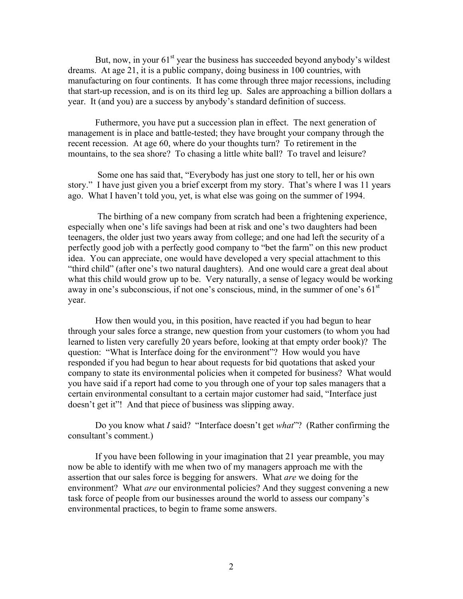But, now, in your  $61<sup>st</sup>$  year the business has succeeded beyond anybody's wildest dreams. At age 21, it is a public company, doing business in 100 countries, with manufacturing on four continents. It has come through three major recessions, including that start-up recession, and is on its third leg up. Sales are approaching a billion dollars a year. It (and you) are a success by anybody's standard definition of success.

Futhermore, you have put a succession plan in effect. The next generation of management is in place and battle-tested; they have brought your company through the recent recession. At age 60, where do your thoughts turn? To retirement in the mountains, to the sea shore? To chasing a little white ball? To travel and leisure?

 Some one has said that, "Everybody has just one story to tell, her or his own story." I have just given you a brief excerpt from my story. That's where I was 11 years ago. What I haven't told you, yet, is what else was going on the summer of 1994.

 The birthing of a new company from scratch had been a frightening experience, especially when one's life savings had been at risk and one's two daughters had been teenagers, the older just two years away from college; and one had left the security of a perfectly good job with a perfectly good company to "bet the farm" on this new product idea. You can appreciate, one would have developed a very special attachment to this "third child" (after one's two natural daughters). And one would care a great deal about what this child would grow up to be. Very naturally, a sense of legacy would be working away in one's subconscious, if not one's conscious, mind, in the summer of one's  $61<sup>st</sup>$ year.

How then would you, in this position, have reacted if you had begun to hear through your sales force a strange, new question from your customers (to whom you had learned to listen very carefully 20 years before, looking at that empty order book)? The question: "What is Interface doing for the environment"? How would you have responded if you had begun to hear about requests for bid quotations that asked your company to state its environmental policies when it competed for business? What would you have said if a report had come to you through one of your top sales managers that a certain environmental consultant to a certain major customer had said, "Interface just doesn't get it"! And that piece of business was slipping away.

Do you know what *I* said? "Interface doesn't get *what*"? (Rather confirming the consultant's comment.)

If you have been following in your imagination that 21 year preamble, you may now be able to identify with me when two of my managers approach me with the assertion that our sales force is begging for answers. What *are* we doing for the environment? What *are* our environmental policies? And they suggest convening a new task force of people from our businesses around the world to assess our company's environmental practices, to begin to frame some answers.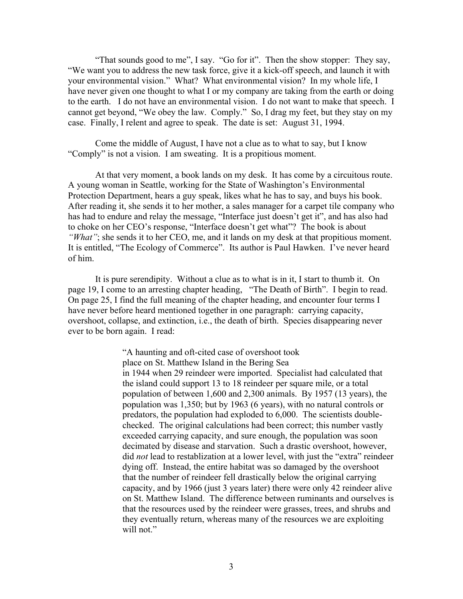"That sounds good to me", I say. "Go for it". Then the show stopper: They say, "We want you to address the new task force, give it a kick-off speech, and launch it with your environmental vision." What? What environmental vision? In my whole life, I have never given one thought to what I or my company are taking from the earth or doing to the earth. I do not have an environmental vision. I do not want to make that speech. I cannot get beyond, "We obey the law. Comply." So, I drag my feet, but they stay on my case. Finally, I relent and agree to speak. The date is set: August 31, 1994.

Come the middle of August, I have not a clue as to what to say, but I know "Comply" is not a vision. I am sweating. It is a propitious moment.

At that very moment, a book lands on my desk. It has come by a circuitous route. A young woman in Seattle, working for the State of Washington's Environmental Protection Department, hears a guy speak, likes what he has to say, and buys his book. After reading it, she sends it to her mother, a sales manager for a carpet tile company who has had to endure and relay the message, "Interface just doesn't get it", and has also had to choke on her CEO's response, "Interface doesn't get what"? The book is about *"What"*; she sends it to her CEO, me, and it lands on my desk at that propitious moment. It is entitled, "The Ecology of Commerce". Its author is Paul Hawken. I've never heard of him.

It is pure serendipity. Without a clue as to what is in it, I start to thumb it. On page 19, I come to an arresting chapter heading, "The Death of Birth". I begin to read. On page 25, I find the full meaning of the chapter heading, and encounter four terms I have never before heard mentioned together in one paragraph: carrying capacity, overshoot, collapse, and extinction, i.e., the death of birth. Species disappearing never ever to be born again. I read:

> "A haunting and oft-cited case of overshoot took place on St. Matthew Island in the Bering Sea in 1944 when 29 reindeer were imported. Specialist had calculated that the island could support 13 to 18 reindeer per square mile, or a total population of between 1,600 and 2,300 animals. By 1957 (13 years), the population was 1,350; but by 1963 (6 years), with no natural controls or predators, the population had exploded to 6,000. The scientists doublechecked. The original calculations had been correct; this number vastly exceeded carrying capacity, and sure enough, the population was soon decimated by disease and starvation. Such a drastic overshoot, however, did *not* lead to restablization at a lower level, with just the "extra" reindeer dying off. Instead, the entire habitat was so damaged by the overshoot that the number of reindeer fell drastically below the original carrying capacity, and by 1966 (just 3 years later) there were only 42 reindeer alive on St. Matthew Island. The difference between ruminants and ourselves is that the resources used by the reindeer were grasses, trees, and shrubs and they eventually return, whereas many of the resources we are exploiting will not."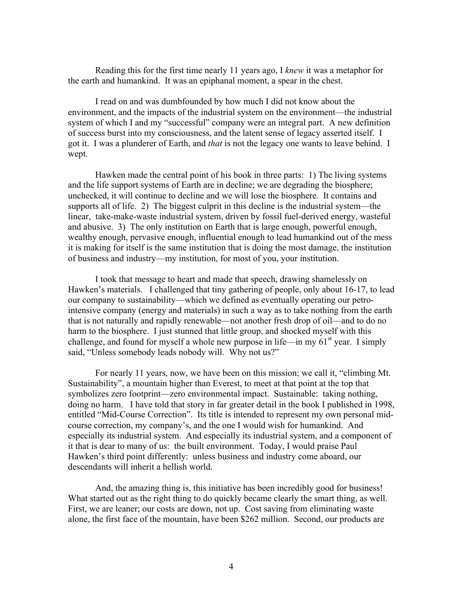Reading this for the first time nearly 11 years ago, I *knew* it was a metaphor for the earth and humankind. It was an epiphanal moment, a spear in the chest.

I read on and was dumbfounded by how much I did not know about the environment, and the impacts of the industrial system on the environment—the industrial system of which I and my "successful" company were an integral part. A new definition of success burst into my consciousness, and the latent sense of legacy asserted itself. I got it. I was a plunderer of Earth, and *that* is not the legacy one wants to leave behind. I wept.

Hawken made the central point of his book in three parts: 1) The living systems and the life support systems of Earth are in decline; we are degrading the biosphere; unchecked, it will continue to decline and we will lose the biosphere. It contains and supports all of life. 2) The biggest culprit in this decline is the industrial system—the linear, take-make-waste industrial system, driven by fossil fuel-derived energy, wasteful and abusive. 3) The only institution on Earth that is large enough, powerful enough, wealthy enough, pervasive enough, influential enough to lead humankind out of the mess it is making for itself is the same institution that is doing the most damage, the institution of business and industry—my institution, for most of you, your institution.

I took that message to heart and made that speech, drawing shamelessly on Hawken's materials. I challenged that tiny gathering of people, only about 16-17, to lead our company to sustainability—which we defined as eventually operating our petrointensive company (energy and materials) in such a way as to take nothing from the earth that is not naturally and rapidly renewable—not another fresh drop of oil—and to do no harm to the biosphere. I just stunned that little group, and shocked myself with this challenge, and found for myself a whole new purpose in life—in my  $61<sup>st</sup>$  year. I simply said, "Unless somebody leads nobody will. Why not us?"

For nearly 11 years, now, we have been on this mission; we call it, "climbing Mt. Sustainability", a mountain higher than Everest, to meet at that point at the top that symbolizes zero footprint—zero environmental impact. Sustainable: taking nothing, doing no harm. I have told that story in far greater detail in the book I published in 1998, entitled "Mid-Course Correction". Its title is intended to represent my own personal midcourse correction, my company's, and the one I would wish for humankind. And especially its industrial system. And especially its industrial system, and a component of it that is dear to many of us: the built environment. Today, I would praise Paul Hawken's third point differently: unless business and industry come aboard, our descendants will inherit a hellish world.

And, the amazing thing is, this initiative has been incredibly good for business! What started out as the right thing to do quickly became clearly the smart thing, as well. First, we are leaner; our costs are down, not up. Cost saving from eliminating waste alone, the first face of the mountain, have been \$262 million. Second, our products are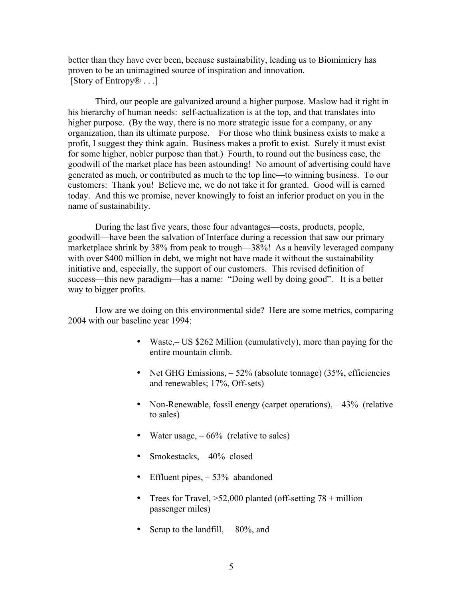better than they have ever been, because sustainability, leading us to Biomimicry has proven to be an unimagined source of inspiration and innovation. [Story of Entropy® . . .]

Third, our people are galvanized around a higher purpose. Maslow had it right in his hierarchy of human needs: self-actualization is at the top, and that translates into higher purpose. (By the way, there is no more strategic issue for a company, or any organization, than its ultimate purpose. For those who think business exists to make a profit, I suggest they think again. Business makes a profit to exist. Surely it must exist for some higher, nobler purpose than that.) Fourth, to round out the business case, the goodwill of the market place has been astounding! No amount of advertising could have generated as much, or contributed as much to the top line—to winning business. To our customers: Thank you! Believe me, we do not take it for granted. Good will is earned today. And this we promise, never knowingly to foist an inferior product on you in the name of sustainability.

During the last five years, those four advantages—costs, products, people, goodwill—have been the salvation of Interface during a recession that saw our primary marketplace shrink by 38% from peak to trough—38%! As a heavily leveraged company with over \$400 million in debt, we might not have made it without the sustainability initiative and, especially, the support of our customers. This revised definition of success—this new paradigm—has a name: "Doing well by doing good". It is a better way to bigger profits.

How are we doing on this environmental side? Here are some metrics, comparing 2004 with our baseline year 1994:

- Waste, US \$262 Million (cumulatively), more than paying for the entire mountain climb.
- Net GHG Emissions,  $-52\%$  (absolute tonnage) (35%, efficiencies and renewables; 17%, Off-sets)
- Non-Renewable, fossil energy (carpet operations),  $-43\%$  (relative to sales)
- Water usage,  $-66%$  (relative to sales)
- Smokestacks,  $-40\%$  closed
- Effluent pipes,  $-53%$  abandoned
- Trees for Travel,  $>52,000$  planted (off-setting 78 + million passenger miles)
- Scrap to the landfill,  $-80\%$ , and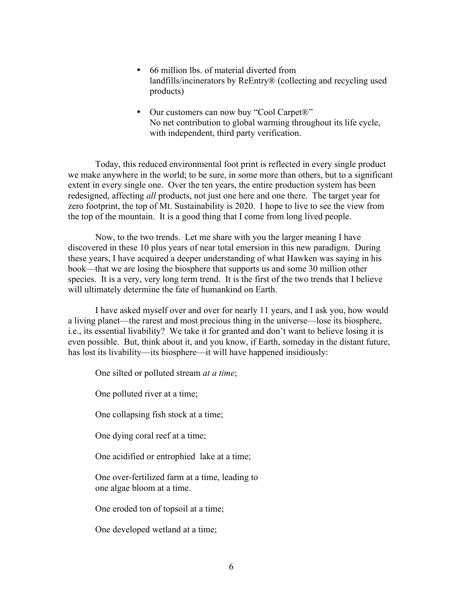- 66 million lbs. of material diverted from landfills/incinerators by ReEntry® (collecting and recycling used products)
- Our customers can now buy "Cool Carpet®" No net contribution to global warming throughout its life cycle, with independent, third party verification.

Today, this reduced environmental foot print is reflected in every single product we make anywhere in the world; to be sure, in some more than others, but to a significant extent in every single one. Over the ten years, the entire production system has been redesigned, affecting *all* products, not just one here and one there. The target year for zero footprint, the top of Mt. Sustainability is 2020. I hope to live to see the view from the top of the mountain. It is a good thing that I come from long lived people.

Now, to the two trends. Let me share with you the larger meaning I have discovered in these 10 plus years of near total emersion in this new paradigm. During these years, I have acquired a deeper understanding of what Hawken was saying in his book—that we are losing the biosphere that supports us and some 30 million other species. It is a very, very long term trend. It is the first of the two trends that I believe will ultimately determine the fate of humankind on Earth.

I have asked myself over and over for nearly 11 years, and I ask you, how would a living planet—the rarest and most precious thing in the universe—lose its biosphere, i.e., its essential livability? We take it for granted and don't want to believe losing it is even possible. But, think about it, and you know, if Earth, someday in the distant future, has lost its livability—its biosphere—it will have happened insidiously:

One silted or polluted stream *at a time*;

One polluted river at a time;

One collapsing fish stock at a time;

One dying coral reef at a time;

One acidified or entrophied lake at a time;

One over-fertilized farm at a time, leading to one algae bloom at a time.

One eroded ton of topsoil at a time;

One developed wetland at a time;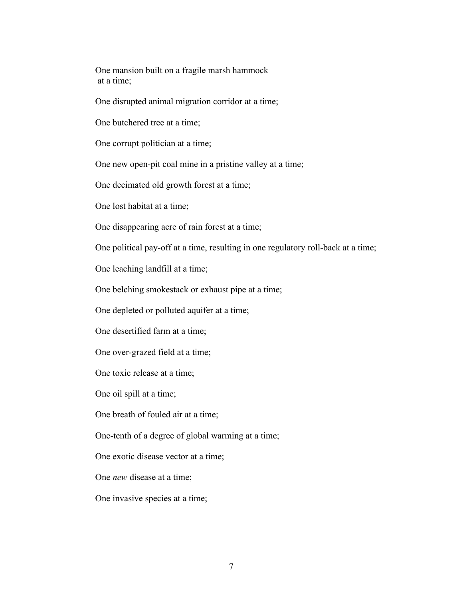One mansion built on a fragile marsh hammock at a time;

One disrupted animal migration corridor at a time;

One butchered tree at a time;

One corrupt politician at a time;

One new open-pit coal mine in a pristine valley at a time;

One decimated old growth forest at a time;

One lost habitat at a time;

One disappearing acre of rain forest at a time;

One political pay-off at a time, resulting in one regulatory roll-back at a time;

One leaching landfill at a time;

One belching smokestack or exhaust pipe at a time;

One depleted or polluted aquifer at a time;

One desertified farm at a time;

One over-grazed field at a time;

One toxic release at a time;

One oil spill at a time;

One breath of fouled air at a time;

One-tenth of a degree of global warming at a time;

One exotic disease vector at a time;

One *new* disease at a time;

One invasive species at a time;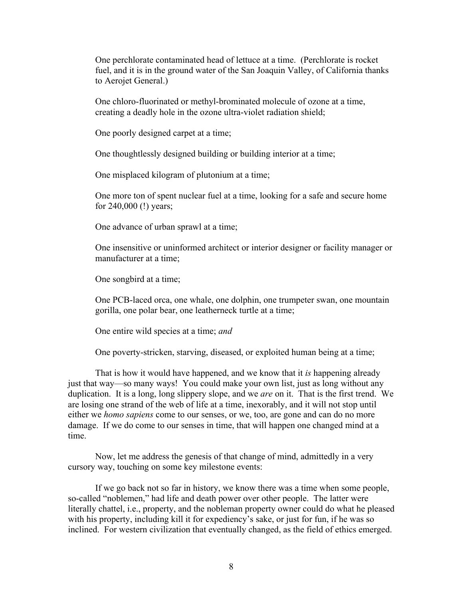One perchlorate contaminated head of lettuce at a time. (Perchlorate is rocket fuel, and it is in the ground water of the San Joaquin Valley, of California thanks to Aerojet General.)

One chloro-fluorinated or methyl-brominated molecule of ozone at a time, creating a deadly hole in the ozone ultra-violet radiation shield;

One poorly designed carpet at a time;

One thoughtlessly designed building or building interior at a time;

One misplaced kilogram of plutonium at a time;

One more ton of spent nuclear fuel at a time, looking for a safe and secure home for 240,000 (!) years;

One advance of urban sprawl at a time;

One insensitive or uninformed architect or interior designer or facility manager or manufacturer at a time;

One songbird at a time;

One PCB-laced orca, one whale, one dolphin, one trumpeter swan, one mountain gorilla, one polar bear, one leatherneck turtle at a time;

One entire wild species at a time; *and*

One poverty-stricken, starving, diseased, or exploited human being at a time;

That is how it would have happened, and we know that it *is* happening already just that way—so many ways! You could make your own list, just as long without any duplication. It is a long, long slippery slope, and we *are* on it. That is the first trend. We are losing one strand of the web of life at a time, inexorably, and it will not stop until either we *homo sapiens* come to our senses, or we, too, are gone and can do no more damage. If we do come to our senses in time, that will happen one changed mind at a time.

Now, let me address the genesis of that change of mind, admittedly in a very cursory way, touching on some key milestone events:

If we go back not so far in history, we know there was a time when some people, so-called "noblemen," had life and death power over other people. The latter were literally chattel, i.e., property, and the nobleman property owner could do what he pleased with his property, including kill it for expediency's sake, or just for fun, if he was so inclined. For western civilization that eventually changed, as the field of ethics emerged.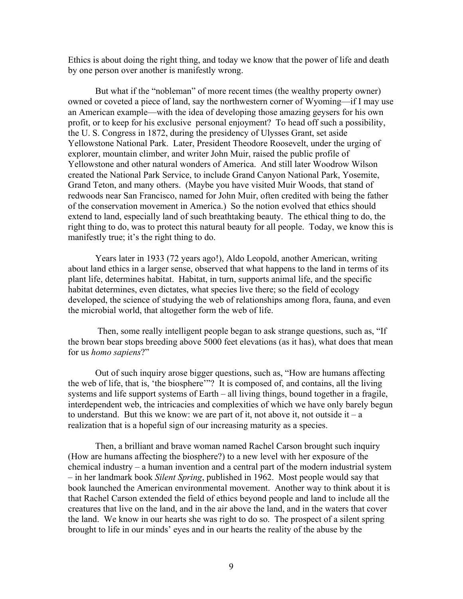Ethics is about doing the right thing, and today we know that the power of life and death by one person over another is manifestly wrong.

But what if the "nobleman" of more recent times (the wealthy property owner) owned or coveted a piece of land, say the northwestern corner of Wyoming—if I may use an American example—with the idea of developing those amazing geysers for his own profit, or to keep for his exclusive personal enjoyment? To head off such a possibility, the U. S. Congress in 1872, during the presidency of Ulysses Grant, set aside Yellowstone National Park. Later, President Theodore Roosevelt, under the urging of explorer, mountain climber, and writer John Muir, raised the public profile of Yellowstone and other natural wonders of America. And still later Woodrow Wilson created the National Park Service, to include Grand Canyon National Park, Yosemite, Grand Teton, and many others. (Maybe you have visited Muir Woods, that stand of redwoods near San Francisco, named for John Muir, often credited with being the father of the conservation movement in America.) So the notion evolved that ethics should extend to land, especially land of such breathtaking beauty. The ethical thing to do, the right thing to do, was to protect this natural beauty for all people. Today, we know this is manifestly true; it's the right thing to do.

Years later in 1933 (72 years ago!), Aldo Leopold, another American, writing about land ethics in a larger sense, observed that what happens to the land in terms of its plant life, determines habitat. Habitat, in turn, supports animal life, and the specific habitat determines, even dictates, what species live there; so the field of ecology developed, the science of studying the web of relationships among flora, fauna, and even the microbial world, that altogether form the web of life.

 Then, some really intelligent people began to ask strange questions, such as, "If the brown bear stops breeding above 5000 feet elevations (as it has), what does that mean for us *homo sapiens*?"

Out of such inquiry arose bigger questions, such as, "How are humans affecting the web of life, that is, 'the biosphere'"? It is composed of, and contains, all the living systems and life support systems of Earth – all living things, bound together in a fragile, interdependent web, the intricacies and complexities of which we have only barely begun to understand. But this we know: we are part of it, not above it, not outside it – a realization that is a hopeful sign of our increasing maturity as a species.

Then, a brilliant and brave woman named Rachel Carson brought such inquiry (How are humans affecting the biosphere?) to a new level with her exposure of the chemical industry – a human invention and a central part of the modern industrial system – in her landmark book *Silent Spring*, published in 1962. Most people would say that book launched the American environmental movement. Another way to think about it is that Rachel Carson extended the field of ethics beyond people and land to include all the creatures that live on the land, and in the air above the land, and in the waters that cover the land. We know in our hearts she was right to do so. The prospect of a silent spring brought to life in our minds' eyes and in our hearts the reality of the abuse by the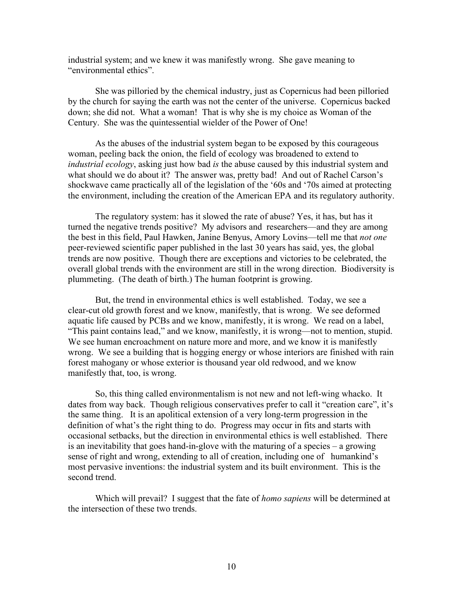industrial system; and we knew it was manifestly wrong. She gave meaning to "environmental ethics".

She was pilloried by the chemical industry, just as Copernicus had been pilloried by the church for saying the earth was not the center of the universe. Copernicus backed down; she did not. What a woman! That is why she is my choice as Woman of the Century. She was the quintessential wielder of the Power of One!

As the abuses of the industrial system began to be exposed by this courageous woman, peeling back the onion, the field of ecology was broadened to extend to *industrial ecology*, asking just how bad *is* the abuse caused by this industrial system and what should we do about it? The answer was, pretty bad! And out of Rachel Carson's shockwave came practically all of the legislation of the '60s and '70s aimed at protecting the environment, including the creation of the American EPA and its regulatory authority.

The regulatory system: has it slowed the rate of abuse? Yes, it has, but has it turned the negative trends positive? My advisors and researchers—and they are among the best in this field, Paul Hawken, Janine Benyus, Amory Lovins—tell me that *not one* peer-reviewed scientific paper published in the last 30 years has said, yes, the global trends are now positive. Though there are exceptions and victories to be celebrated, the overall global trends with the environment are still in the wrong direction. Biodiversity is plummeting. (The death of birth.) The human footprint is growing.

But, the trend in environmental ethics is well established. Today, we see a clear-cut old growth forest and we know, manifestly, that is wrong. We see deformed aquatic life caused by PCBs and we know, manifestly, it is wrong. We read on a label, "This paint contains lead," and we know, manifestly, it is wrong—not to mention, stupid. We see human encroachment on nature more and more, and we know it is manifestly wrong. We see a building that is hogging energy or whose interiors are finished with rain forest mahogany or whose exterior is thousand year old redwood, and we know manifestly that, too, is wrong.

So, this thing called environmentalism is not new and not left-wing whacko. It dates from way back. Though religious conservatives prefer to call it "creation care", it's the same thing. It is an apolitical extension of a very long-term progression in the definition of what's the right thing to do. Progress may occur in fits and starts with occasional setbacks, but the direction in environmental ethics is well established. There is an inevitability that goes hand-in-glove with the maturing of a species – a growing sense of right and wrong, extending to all of creation, including one of humankind's most pervasive inventions: the industrial system and its built environment. This is the second trend.

Which will prevail? I suggest that the fate of *homo sapiens* will be determined at the intersection of these two trends.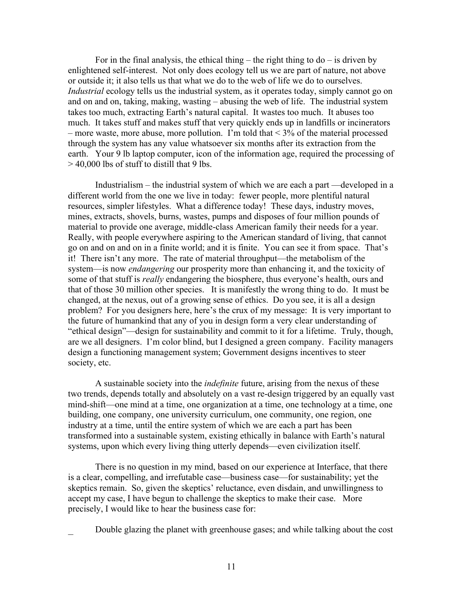For in the final analysis, the ethical thing – the right thing to  $d\sigma$  – is driven by enlightened self-interest. Not only does ecology tell us we are part of nature, not above or outside it; it also tells us that what we do to the web of life we do to ourselves. *Industrial* ecology tells us the industrial system, as it operates today, simply cannot go on and on and on, taking, making, wasting – abusing the web of life. The industrial system takes too much, extracting Earth's natural capital. It wastes too much. It abuses too much. It takes stuff and makes stuff that very quickly ends up in landfills or incinerators – more waste, more abuse, more pollution. I'm told that < 3% of the material processed through the system has any value whatsoever six months after its extraction from the earth. Your 9 lb laptop computer, icon of the information age, required the processing of  $> 40,000$  lbs of stuff to distill that 9 lbs.

Industrialism – the industrial system of which we are each a part —developed in a different world from the one we live in today: fewer people, more plentiful natural resources, simpler lifestyles. What a difference today! These days, industry moves, mines, extracts, shovels, burns, wastes, pumps and disposes of four million pounds of material to provide one average, middle-class American family their needs for a year. Really, with people everywhere aspiring to the American standard of living, that cannot go on and on and on in a finite world; and it is finite. You can see it from space. That's it! There isn't any more. The rate of material throughput—the metabolism of the system—is now *endangering* our prosperity more than enhancing it, and the toxicity of some of that stuff is *really* endangering the biosphere, thus everyone's health, ours and that of those 30 million other species. It is manifestly the wrong thing to do. It must be changed, at the nexus, out of a growing sense of ethics. Do you see, it is all a design problem? For you designers here, here's the crux of my message: It is very important to the future of humankind that any of you in design form a very clear understanding of "ethical design"—design for sustainability and commit to it for a lifetime. Truly, though, are we all designers. I'm color blind, but I designed a green company. Facility managers design a functioning management system; Government designs incentives to steer society, etc.

A sustainable society into the *indefinite* future, arising from the nexus of these two trends, depends totally and absolutely on a vast re-design triggered by an equally vast mind-shift—one mind at a time, one organization at a time, one technology at a time, one building, one company, one university curriculum, one community, one region, one industry at a time, until the entire system of which we are each a part has been transformed into a sustainable system, existing ethically in balance with Earth's natural systems, upon which every living thing utterly depends—even civilization itself.

There is no question in my mind, based on our experience at Interface, that there is a clear, compelling, and irrefutable case—business case—for sustainability; yet the skeptics remain. So, given the skeptics' reluctance, even disdain, and unwillingness to accept my case, I have begun to challenge the skeptics to make their case. More precisely, I would like to hear the business case for:

Double glazing the planet with greenhouse gases; and while talking about the cost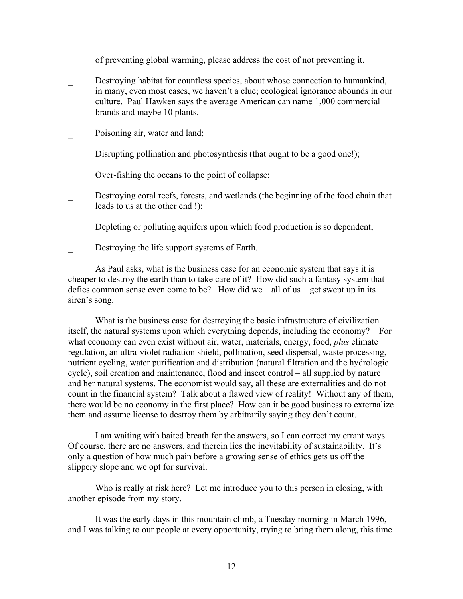of preventing global warming, please address the cost of not preventing it.

- **EXECUTE:** Destroying habitat for countless species, about whose connection to humankind, in many, even most cases, we haven't a clue; ecological ignorance abounds in our culture. Paul Hawken says the average American can name 1,000 commercial brands and maybe 10 plants.
- Poisoning air, water and land;
- Disrupting pollination and photosynthesis (that ought to be a good one!);
- Over-fishing the oceans to the point of collapse;
- Destroying coral reefs, forests, and wetlands (the beginning of the food chain that leads to us at the other end !);
- Depleting or polluting aquifers upon which food production is so dependent;
- Destroying the life support systems of Earth.

As Paul asks, what is the business case for an economic system that says it is cheaper to destroy the earth than to take care of it? How did such a fantasy system that defies common sense even come to be? How did we—all of us—get swept up in its siren's song.

What is the business case for destroying the basic infrastructure of civilization itself, the natural systems upon which everything depends, including the economy? For what economy can even exist without air, water, materials, energy, food, *plus* climate regulation, an ultra-violet radiation shield, pollination, seed dispersal, waste processing, nutrient cycling, water purification and distribution (natural filtration and the hydrologic cycle), soil creation and maintenance, flood and insect control – all supplied by nature and her natural systems. The economist would say, all these are externalities and do not count in the financial system? Talk about a flawed view of reality! Without any of them, there would be no economy in the first place? How can it be good business to externalize them and assume license to destroy them by arbitrarily saying they don't count.

I am waiting with baited breath for the answers, so I can correct my errant ways. Of course, there are no answers, and therein lies the inevitability of sustainability. It's only a question of how much pain before a growing sense of ethics gets us off the slippery slope and we opt for survival.

Who is really at risk here? Let me introduce you to this person in closing, with another episode from my story.

It was the early days in this mountain climb, a Tuesday morning in March 1996, and I was talking to our people at every opportunity, trying to bring them along, this time